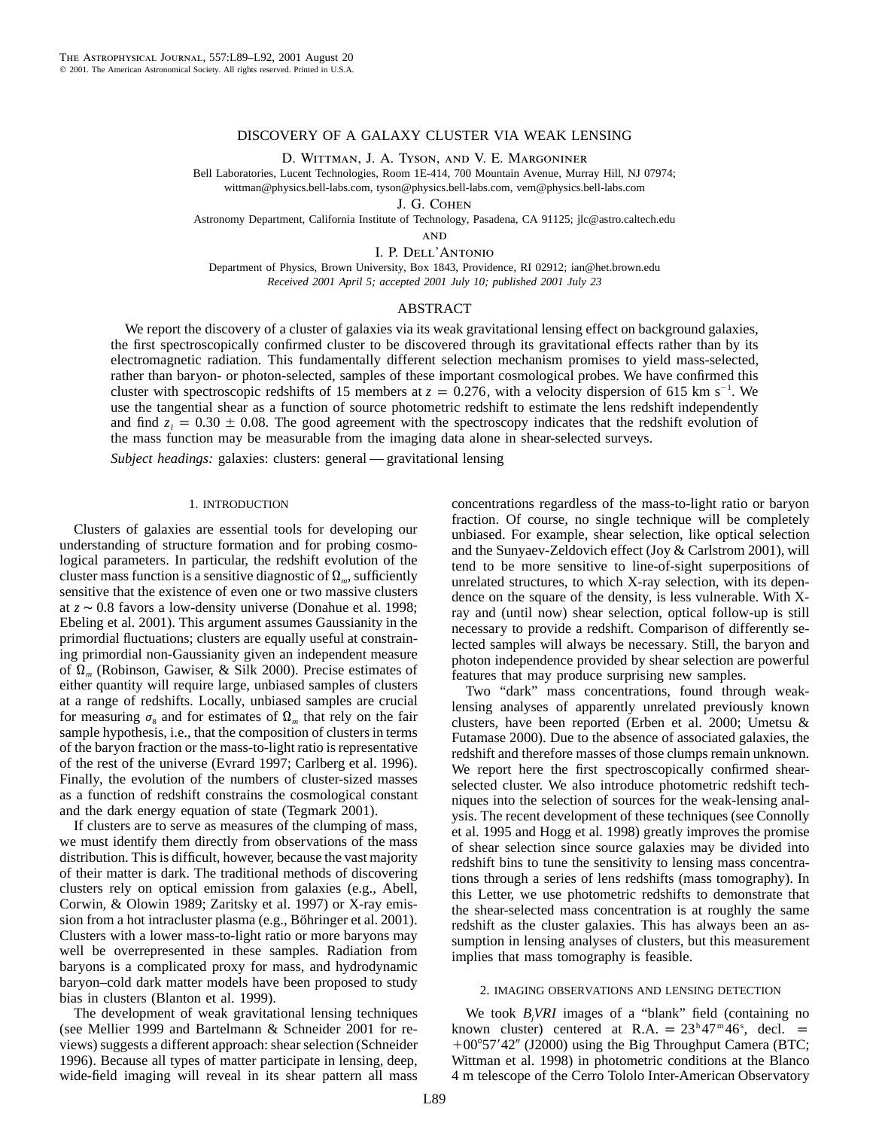# DISCOVERY OF A GALAXY CLUSTER VIA WEAK LENSING

D. Wittman, J. A. Tyson, and V. E. Margoniner

Bell Laboratories, Lucent Technologies, Room 1E-414, 700 Mountain Avenue, Murray Hill, NJ 07974; wittman@physics.bell-labs.com, tyson@physics.bell-labs.com, vem@physics.bell-labs.com

J. G. Cohen

Astronomy Department, California Institute of Technology, Pasadena, CA 91125; jlc@astro.caltech.edu

**AND** 

I. P. Dell'Antonio

Department of Physics, Brown University, Box 1843, Providence, RI 02912; ian@het.brown.edu *Received 2001 April 5; accepted 2001 July 10; published 2001 July 23*

## ABSTRACT

We report the discovery of a cluster of galaxies via its weak gravitational lensing effect on background galaxies, the first spectroscopically confirmed cluster to be discovered through its gravitational effects rather than by its electromagnetic radiation. This fundamentally different selection mechanism promises to yield mass-selected, rather than baryon- or photon-selected, samples of these important cosmological probes. We have confirmed this cluster with spectroscopic redshifts of 15 members at  $z = 0.276$ , with a velocity dispersion of 615 km s<sup>-1</sup>. We use the tangential shear as a function of source photometric redshift to estimate the lens redshift independently and find  $z_1 = 0.30 \pm 0.08$ . The good agreement with the spectroscopy indicates that the redshift evolution of the mass function may be measurable from the imaging data alone in shear-selected surveys.

*Subject headings:* galaxies: clusters: general — gravitational lensing

### 1. INTRODUCTION

Clusters of galaxies are essential tools for developing our understanding of structure formation and for probing cosmological parameters. In particular, the redshift evolution of the cluster mass function is a sensitive diagnostic of  $\Omega_m$ , sufficiently sensitive that the existence of even one or two massive clusters at favors a low-density universe (Donahue et al. 1998; *z* ∼ 0.8 Ebeling et al. 2001). This argument assumes Gaussianity in the primordial fluctuations; clusters are equally useful at constraining primordial non-Gaussianity given an independent measure of (Robinson, Gawiser, & Silk 2000). Precise estimates of Q*<sup>m</sup>* either quantity will require large, unbiased samples of clusters at a range of redshifts. Locally, unbiased samples are crucial for measuring  $\sigma_8$  and for estimates of  $\Omega_m$  that rely on the fair sample hypothesis, i.e., that the composition of clusters in terms of the baryon fraction or the mass-to-light ratio is representative of the rest of the universe (Evrard 1997; Carlberg et al. 1996). Finally, the evolution of the numbers of cluster-sized masses as a function of redshift constrains the cosmological constant and the dark energy equation of state (Tegmark 2001).

If clusters are to serve as measures of the clumping of mass, we must identify them directly from observations of the mass distribution. This is difficult, however, because the vast majority of their matter is dark. The traditional methods of discovering clusters rely on optical emission from galaxies (e.g., Abell, Corwin, & Olowin 1989; Zaritsky et al. 1997) or X-ray emission from a hot intracluster plasma (e.g., Böhringer et al. 2001). Clusters with a lower mass-to-light ratio or more baryons may well be overrepresented in these samples. Radiation from baryons is a complicated proxy for mass, and hydrodynamic baryon–cold dark matter models have been proposed to study bias in clusters (Blanton et al. 1999).

The development of weak gravitational lensing techniques (see Mellier 1999 and Bartelmann & Schneider 2001 for reviews) suggests a different approach: shear selection (Schneider 1996). Because all types of matter participate in lensing, deep, wide-field imaging will reveal in its shear pattern all mass concentrations regardless of the mass-to-light ratio or baryon fraction. Of course, no single technique will be completely unbiased. For example, shear selection, like optical selection and the Sunyaev-Zeldovich effect (Joy & Carlstrom 2001), will tend to be more sensitive to line-of-sight superpositions of unrelated structures, to which X-ray selection, with its dependence on the square of the density, is less vulnerable. With Xray and (until now) shear selection, optical follow-up is still necessary to provide a redshift. Comparison of differently selected samples will always be necessary. Still, the baryon and photon independence provided by shear selection are powerful features that may produce surprising new samples.

Two "dark" mass concentrations, found through weaklensing analyses of apparently unrelated previously known clusters, have been reported (Erben et al. 2000; Umetsu & Futamase 2000). Due to the absence of associated galaxies, the redshift and therefore masses of those clumps remain unknown. We report here the first spectroscopically confirmed shearselected cluster. We also introduce photometric redshift techniques into the selection of sources for the weak-lensing analysis. The recent development of these techniques (see Connolly et al. 1995 and Hogg et al. 1998) greatly improves the promise of shear selection since source galaxies may be divided into redshift bins to tune the sensitivity to lensing mass concentrations through a series of lens redshifts (mass tomography). In this Letter, we use photometric redshifts to demonstrate that the shear-selected mass concentration is at roughly the same redshift as the cluster galaxies. This has always been an assumption in lensing analyses of clusters, but this measurement implies that mass tomography is feasible.

# 2. IMAGING OBSERVATIONS AND LENSING DETECTION

We took  $B<sub>i</sub> VRI$  images of a "blank" field (containing no known cluster) centered at R.A. =  $23^{\text{h}}47^{\text{m}}46^{\text{s}}$ , decl. = +00°57'42" (J2000) using the Big Throughput Camera (BTC; Wittman et al. 1998) in photometric conditions at the Blanco 4 m telescope of the Cerro Tololo Inter-American Observatory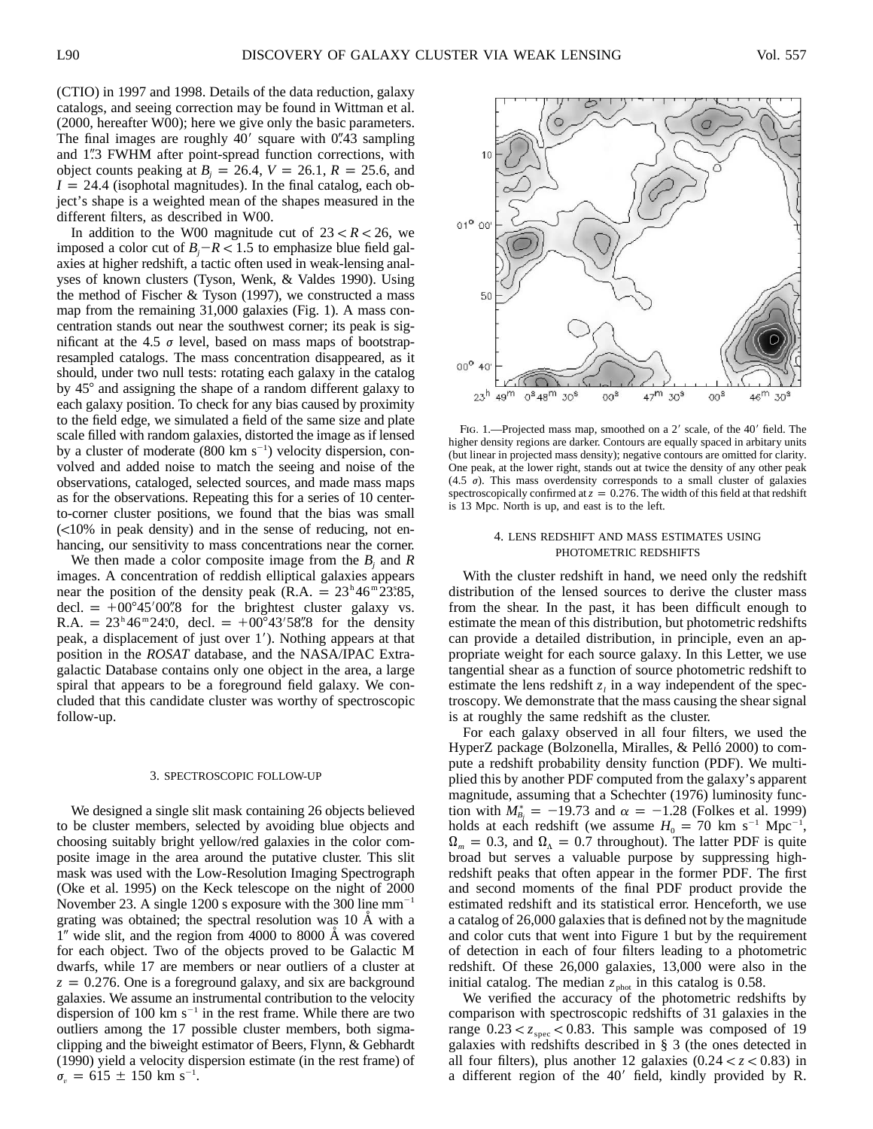(CTIO) in 1997 and 1998. Details of the data reduction, galaxy catalogs, and seeing correction may be found in Wittman et al. (2000, hereafter W00); here we give only the basic parameters. The final images are roughly 40' square with 0".43 sampling and 1"3 FWHM after point-spread function corrections, with object counts peaking at  $B_i = 26.4$ ,  $V = 26.1$ ,  $R = 25.6$ , and  $I = 24.4$  (isophotal magnitudes). In the final catalog, each object's shape is a weighted mean of the shapes measured in the different filters, as described in W00.

In addition to the W00 magnitude cut of  $23 < R < 26$ , we imposed a color cut of  $B_i - R < 1.5$  to emphasize blue field galaxies at higher redshift, a tactic often used in weak-lensing analyses of known clusters (Tyson, Wenk, & Valdes 1990). Using the method of Fischer  $&$  Tyson (1997), we constructed a mass map from the remaining 31,000 galaxies (Fig. 1). A mass concentration stands out near the southwest corner; its peak is significant at the 4.5  $\sigma$  level, based on mass maps of bootstrapresampled catalogs. The mass concentration disappeared, as it should, under two null tests: rotating each galaxy in the catalog by 45° and assigning the shape of a random different galaxy to each galaxy position. To check for any bias caused by proximity to the field edge, we simulated a field of the same size and plate scale filled with random galaxies, distorted the image as if lensed by a cluster of moderate (800 km  $s^{-1}$ ) velocity dispersion, convolved and added noise to match the seeing and noise of the observations, cataloged, selected sources, and made mass maps as for the observations. Repeating this for a series of 10 centerto-corner cluster positions, we found that the bias was small  $\leq$ 10% in peak density) and in the sense of reducing, not enhancing, our sensitivity to mass concentrations near the corner.

We then made a color composite image from the  $B_i$  and  $R_i$ images. A concentration of reddish elliptical galaxies appears near the position of the density peak (R.A. =  $23^{\circ}46^{\circ}23.85$ , decl. =  $+00^{\circ}45'00''8$  for the brightest cluster galaxy vs. R.A. =  $23^h 46^m 24.0$ , decl. =  $+00^{\circ} 43' 58.8$  for the density peak, a displacement of just over 1). Nothing appears at that position in the *ROSAT* database, and the NASA/IPAC Extragalactic Database contains only one object in the area, a large spiral that appears to be a foreground field galaxy. We concluded that this candidate cluster was worthy of spectroscopic follow-up.

#### 3. SPECTROSCOPIC FOLLOW-UP

We designed a single slit mask containing 26 objects believed to be cluster members, selected by avoiding blue objects and choosing suitably bright yellow/red galaxies in the color composite image in the area around the putative cluster. This slit mask was used with the Low-Resolution Imaging Spectrograph (Oke et al. 1995) on the Keck telescope on the night of 2000 November 23. A single 1200 s exposure with the 300 line  $mm^{-1}$ grating was obtained; the spectral resolution was  $10 \text{ Å}$  with a 1" wide slit, and the region from 4000 to 8000 Å was covered for each object. Two of the objects proved to be Galactic M dwarfs, while 17 are members or near outliers of a cluster at  $z = 0.276$ . One is a foreground galaxy, and six are background galaxies. We assume an instrumental contribution to the velocity dispersion of 100 km  $s^{-1}$  in the rest frame. While there are two outliers among the 17 possible cluster members, both sigmaclipping and the biweight estimator of Beers, Flynn, & Gebhardt (1990) yield a velocity dispersion estimate (in the rest frame) of  $\sigma_v = 615 \pm 150 \text{ km s}^{-1}$ .



FIG. 1.-Projected mass map, smoothed on a 2' scale, of the 40' field. The higher density regions are darker. Contours are equally spaced in arbitary units (but linear in projected mass density); negative contours are omitted for clarity. One peak, at the lower right, stands out at twice the density of any other peak (4.5  $\sigma$ ). This mass overdensity corresponds to a small cluster of galaxies spectroscopically confirmed at  $z = 0.276$ . The width of this field at that redshift is 13 Mpc. North is up, and east is to the left.

## 4. LENS REDSHIFT AND MASS ESTIMATES USING PHOTOMETRIC REDSHIFTS

With the cluster redshift in hand, we need only the redshift distribution of the lensed sources to derive the cluster mass from the shear. In the past, it has been difficult enough to estimate the mean of this distribution, but photometric redshifts can provide a detailed distribution, in principle, even an appropriate weight for each source galaxy. In this Letter, we use tangential shear as a function of source photometric redshift to estimate the lens redshift  $z_i$  in a way independent of the spectroscopy. We demonstrate that the mass causing the shear signal is at roughly the same redshift as the cluster.

For each galaxy observed in all four filters, we used the HyperZ package (Bolzonella, Miralles, & Pelló 2000) to compute a redshift probability density function (PDF). We multiplied this by another PDF computed from the galaxy's apparent magnitude, assuming that a Schechter (1976) luminosity function with  $M_{B_i}^* = -19.73$  and  $\alpha = -1.28$  *(Folkes et al. 1999)* holds at each redshift (we assume  $H_0 = 70$  km s<sup>-1</sup> Mpc<sup>-1</sup>,  $\Omega_m = 0.3$ , and  $\Omega_{\Lambda} = 0.7$  throughout). The latter PDF is quite broad but serves a valuable purpose by suppressing highredshift peaks that often appear in the former PDF. The first and second moments of the final PDF product provide the estimated redshift and its statistical error. Henceforth, we use a catalog of 26,000 galaxies that is defined not by the magnitude and color cuts that went into Figure 1 but by the requirement of detection in each of four filters leading to a photometric redshift. Of these 26,000 galaxies, 13,000 were also in the initial catalog. The median  $z_{phot}$  in this catalog is 0.58.

We verified the accuracy of the photometric redshifts by comparison with spectroscopic redshifts of 31 galaxies in the range  $0.23 < z<sub>spec</sub> < 0.83$ . This sample was composed of 19 galaxies with redshifts described in § 3 (the ones detected in all four filters), plus another 12 galaxies  $(0.24 < z < 0.83)$  in a different region of the 40' field, kindly provided by R.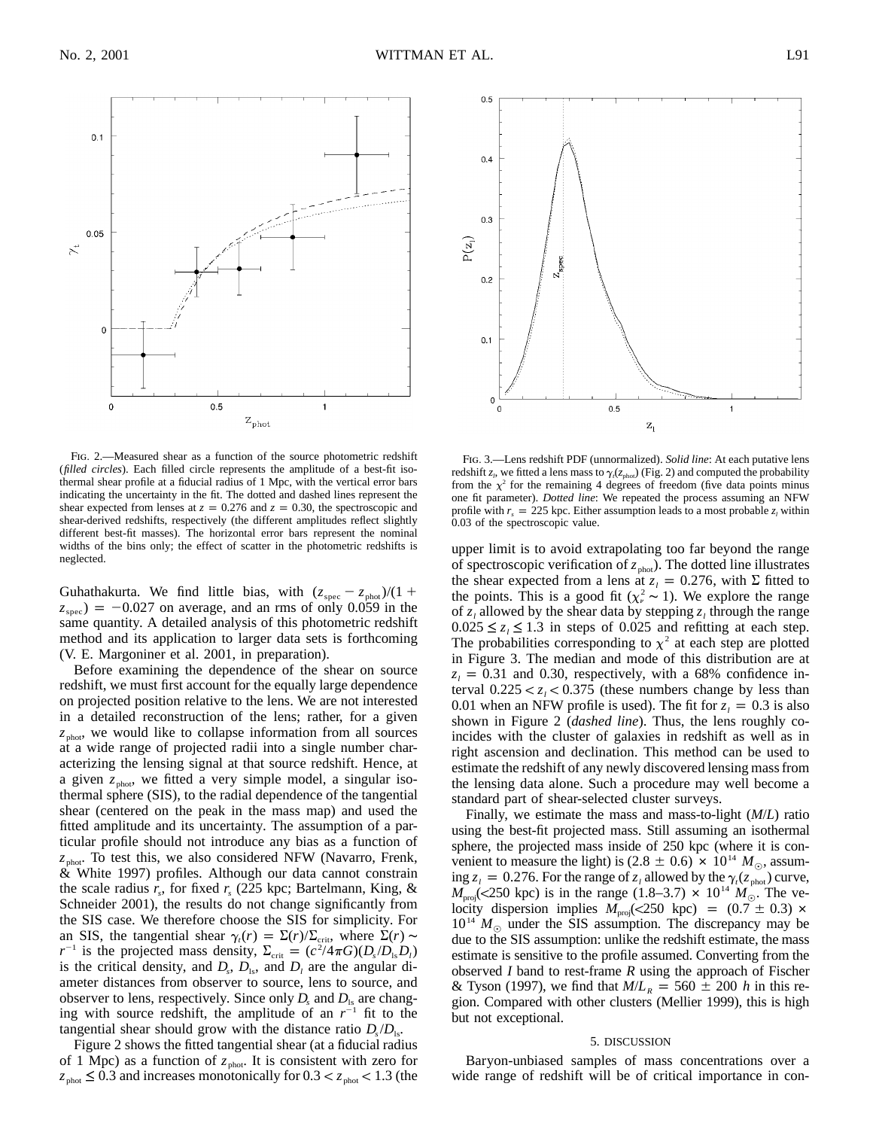Fig. 2.—Measured shear as a function of the source photometric redshift (*filled circles*). Each filled circle represents the amplitude of a best-fit isothermal shear profile at a fiducial radius of 1 Mpc, with the vertical error bars indicating the uncertainty in the fit. The dotted and dashed lines represent the shear expected from lenses at  $z = 0.276$  and  $z = 0.30$ , the spectroscopic and shear-derived redshifts, respectively (the different amplitudes reflect slightly different best-fit masses). The horizontal error bars represent the nominal widths of the bins only; the effect of scatter in the photometric redshifts is neglected.

Guhathakurta. We find little bias, with  $(z_{\text{spec}} - z_{\text{phot}})/(1 + z_{\text{spec}}) = -0.027$  on average, and an rms of only 0.059 in the same quantity. A detailed analysis of this photometric redshift method and its application to larger data sets is forthcoming (V. E. Margoniner et al. 2001, in preparation).

Before examining the dependence of the shear on source redshift, we must first account for the equally large dependence on projected position relative to the lens. We are not interested in a detailed reconstruction of the lens; rather, for a given  $z<sub>phot</sub>$ , we would like to collapse information from all sources at a wide range of projected radii into a single number characterizing the lensing signal at that source redshift. Hence, at a given  $z_{\text{phot}}$ , we fitted a very simple model, a singular isothermal sphere (SIS), to the radial dependence of the tangential shear (centered on the peak in the mass map) and used the fitted amplitude and its uncertainty. The assumption of a particular profile should not introduce any bias as a function of  $z_{phot}$ . To test this, we also considered NFW (Navarro, Frenk, & White 1997) profiles. Although our data cannot constrain the scale radius  $r_s$ , for fixed  $r_s$  (225 kpc; Bartelmann, King, & Schneider 2001), the results do not change significantly from the SIS case. We therefore choose the SIS for simplicity. For an SIS, the tangential shear  $\gamma_i(r) = \Sigma(r)/\Sigma_{\rm crit}$ , where  $\Sigma(r) \sim$  $r^{-1}$  is the projected mass density,  $\Sigma_{\text{crit}} = (c^2/4\pi G)(D_s/D_s D_l)$ is the critical density, and  $D_s$ ,  $D_{1s}$ , and  $D_l$  are the angular diameter distances from observer to source, lens to source, and observer to lens, respectively. Since only  $D_s$  and  $D_{1s}$  are changing with source redshift, the amplitude of an  $r^{-1}$  fit to the tangential shear should grow with the distance ratio  $D_s/D_{\text{ls}}$ .

Figure 2 shows the fitted tangential shear (at a fiducial radius of 1 Mpc) as a function of  $z_{\text{phot}}$ . It is consistent with zero for  $z_{\text{phot}} \leq 0.3$  and increases monotonically for  $0.3 < z_{\text{phot}} < 1.3$  (the

Fig. 3.—Lens redshift PDF (unnormalized). *Solid line*: At each putative lens redshift  $z_i$ , we fitted a lens mass to  $\gamma_i(z_{\text{phot}})$  (Fig. 2) and computed the probability from the  $\chi^2$  for the remaining 4 degrees of freedom (five data points minus one fit parameter). *Dotted line*: We repeated the process assuming an NFW profile with  $r_s = 225$  kpc. Either assumption leads to a most probable  $z_l$  within 0.03 of the spectroscopic value.

upper limit is to avoid extrapolating too far beyond the range of spectroscopic verification of  $z_{phot}$ ). The dotted line illustrates the shear expected from a lens at  $z_i = 0.276$ , with  $\Sigma$  fitted to the points. This is a good fit ( $\chi^2$  ∼ 1). We explore the range of  $z_i$  allowed by the shear data by stepping  $z_i$  through the range  $0.025 \le z_i \le 1.3$  in steps of 0.025 and refitting at each step. The probabilities corresponding to  $\chi^2$  at each step are plotted in Figure 3. The median and mode of this distribution are at  $z<sub>l</sub> = 0.31$  and 0.30, respectively, with a 68% confidence interval  $0.225 < z_i < 0.375$  (these numbers change by less than 0.01 when an NFW profile is used). The fit for  $z<sub>l</sub> = 0.3$  is also shown in Figure 2 (*dashed line*). Thus, the lens roughly coincides with the cluster of galaxies in redshift as well as in right ascension and declination. This method can be used to estimate the redshift of any newly discovered lensing mass from the lensing data alone. Such a procedure may well become a standard part of shear-selected cluster surveys.

Finally, we estimate the mass and mass-to-light (*M*/*L*) ratio using the best-fit projected mass. Still assuming an isothermal sphere, the projected mass inside of 250 kpc (where it is convenient to measure the light) is  $(2.8 \pm 0.6) \times 10^{14} M_{\odot}$ , assuming  $z_i = 0.276$ . For the range of  $z_i$  allowed by the  $\gamma_i(z_{\text{phot}})$  curve,  $M_{\text{proj}}$ (<250 kpc) is in the range (1.8–3.7)  $\times$  10<sup>14</sup>  $M_{\odot}$ . The velocity dispersion implies  $M_{\text{proj}}(250 \text{ kpc}) = (0.7 \pm 0.3) \times$  $10^{14}$   $M_{\odot}$  under the SIS assumption. The discrepancy may be due to the SIS assumption: unlike the redshift estimate, the mass estimate is sensitive to the profile assumed. Converting from the observed *I* band to rest-frame *R* using the approach of Fischer & Tyson (1997), we find that  $M/L_R = 560 \pm 200 h$  in this region. Compared with other clusters (Mellier 1999), this is high but not exceptional.

#### 5. DISCUSSION

Baryon-unbiased samples of mass concentrations over a wide range of redshift will be of critical importance in con-